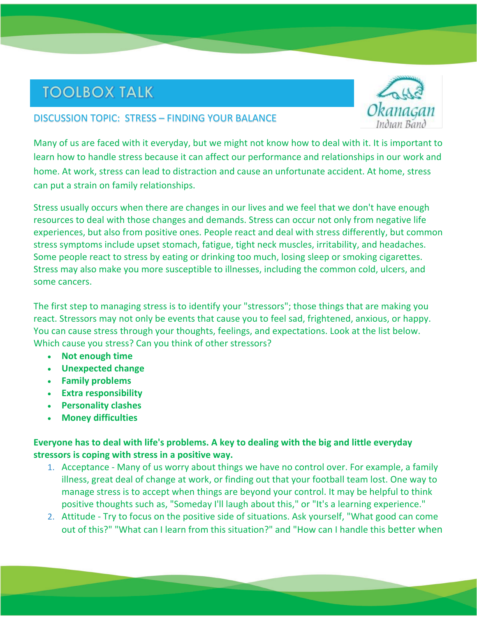## **TOOLBOX TALK**



## DISCUSSION TOPIC: STRESS – FINDING YOUR BALANCE

Many of us are faced with it everyday, but we might not know how to deal with it. It is important to learn how to handle stress because it can affect our performance and relationships in our work and home. At work, stress can lead to distraction and cause an unfortunate accident. At home, stress can put a strain on family relationships.

Stress usually occurs when there are changes in our lives and we feel that we don't have enough resources to deal with those changes and demands. Stress can occur not only from negative life experiences, but also from positive ones. People react and deal with stress differently, but common stress symptoms include upset stomach, fatigue, tight neck muscles, irritability, and headaches. Some people react to stress by eating or drinking too much, losing sleep or smoking cigarettes. Stress may also make you more susceptible to illnesses, including the common cold, ulcers, and some cancers.

The first step to managing stress is to identify your "stressors"; those things that are making you react. Stressors may not only be events that cause you to feel sad, frightened, anxious, or happy. You can cause stress through your thoughts, feelings, and expectations. Look at the list below. Which cause you stress? Can you think of other stressors?

- **Not enough time**
- **Unexpected change**
- **Family problems**
- **Extra responsibility**
- **Personality clashes**
- **Money difficulties**

## **Everyone has to deal with life's problems. A key to dealing with the big and little everyday stressors is coping with stress in a positive way.**

- 1. Acceptance Many of us worry about things we have no control over. For example, a family illness, great deal of change at work, or finding out that your football team lost. One way to manage stress is to accept when things are beyond your control. It may be helpful to think positive thoughts such as, "Someday I'll laugh about this," or "It's a learning experience."
- 2. Attitude Try to focus on the positive side of situations. Ask yourself, "What good can come out of this?" "What can I learn from this situation?" and "How can I handle this better when